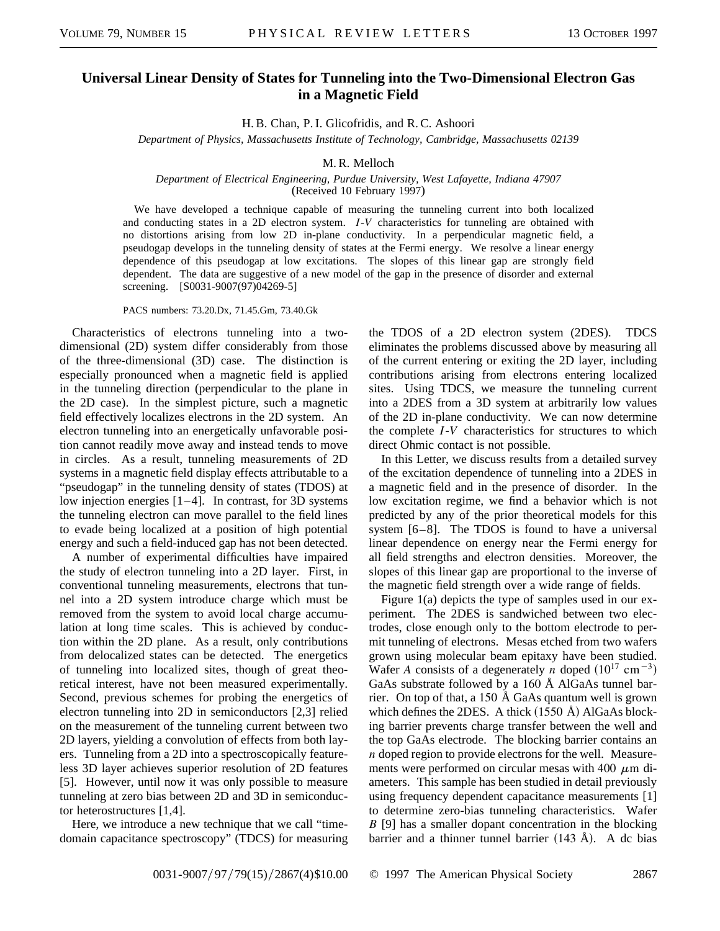## **Universal Linear Density of States for Tunneling into the Two-Dimensional Electron Gas in a Magnetic Field**

H. B. Chan, P. I. Glicofridis, and R. C. Ashoori

*Department of Physics, Massachusetts Institute of Technology, Cambridge, Massachusetts 02139*

## M. R. Melloch

## *Department of Electrical Engineering, Purdue University, West Lafayette, Indiana 47907* (Received 10 February 1997)

We have developed a technique capable of measuring the tunneling current into both localized and conducting states in a 2D electron system. *I*-*V* characteristics for tunneling are obtained with no distortions arising from low 2D in-plane conductivity. In a perpendicular magnetic field, a pseudogap develops in the tunneling density of states at the Fermi energy. We resolve a linear energy dependence of this pseudogap at low excitations. The slopes of this linear gap are strongly field dependent. The data are suggestive of a new model of the gap in the presence of disorder and external screening. [S0031-9007(97)04269-5]

PACS numbers: 73.20.Dx, 71.45.Gm, 73.40.Gk

Characteristics of electrons tunneling into a twodimensional (2D) system differ considerably from those of the three-dimensional (3D) case. The distinction is especially pronounced when a magnetic field is applied in the tunneling direction (perpendicular to the plane in the 2D case). In the simplest picture, such a magnetic field effectively localizes electrons in the 2D system. An electron tunneling into an energetically unfavorable position cannot readily move away and instead tends to move in circles. As a result, tunneling measurements of 2D systems in a magnetic field display effects attributable to a "pseudogap" in the tunneling density of states (TDOS) at low injection energies [1–4]. In contrast, for 3D systems the tunneling electron can move parallel to the field lines to evade being localized at a position of high potential energy and such a field-induced gap has not been detected.

A number of experimental difficulties have impaired the study of electron tunneling into a 2D layer. First, in conventional tunneling measurements, electrons that tunnel into a 2D system introduce charge which must be removed from the system to avoid local charge accumulation at long time scales. This is achieved by conduction within the 2D plane. As a result, only contributions from delocalized states can be detected. The energetics of tunneling into localized sites, though of great theoretical interest, have not been measured experimentally. Second, previous schemes for probing the energetics of electron tunneling into 2D in semiconductors [2,3] relied on the measurement of the tunneling current between two 2D layers, yielding a convolution of effects from both layers. Tunneling from a 2D into a spectroscopically featureless 3D layer achieves superior resolution of 2D features [5]. However, until now it was only possible to measure tunneling at zero bias between 2D and 3D in semiconductor heterostructures [1,4].

Here, we introduce a new technique that we call "timedomain capacitance spectroscopy" (TDCS) for measuring the TDOS of a 2D electron system (2DES). TDCS eliminates the problems discussed above by measuring all of the current entering or exiting the 2D layer, including contributions arising from electrons entering localized sites. Using TDCS, we measure the tunneling current into a 2DES from a 3D system at arbitrarily low values of the 2D in-plane conductivity. We can now determine the complete *I*-*V* characteristics for structures to which direct Ohmic contact is not possible.

In this Letter, we discuss results from a detailed survey of the excitation dependence of tunneling into a 2DES in a magnetic field and in the presence of disorder. In the low excitation regime, we find a behavior which is not predicted by any of the prior theoretical models for this system [6–8]. The TDOS is found to have a universal linear dependence on energy near the Fermi energy for all field strengths and electron densities. Moreover, the slopes of this linear gap are proportional to the inverse of the magnetic field strength over a wide range of fields.

Figure 1(a) depicts the type of samples used in our experiment. The 2DES is sandwiched between two electrodes, close enough only to the bottom electrode to permit tunneling of electrons. Mesas etched from two wafers grown using molecular beam epitaxy have been studied. Wafer *A* consists of a degenerately *n* doped  $(10^{17} \text{ cm}^{-3})$ GaAs substrate followed by a 160 Å AlGaAs tunnel barrier. On top of that, a 150 Å GaAs quantum well is grown which defines the 2DES. A thick  $(1550 \text{ Å})$  AlGaAs blocking barrier prevents charge transfer between the well and the top GaAs electrode. The blocking barrier contains an *n* doped region to provide electrons for the well. Measurements were performed on circular mesas with 400  $\mu$ m diameters. This sample has been studied in detail previously using frequency dependent capacitance measurements [1] to determine zero-bias tunneling characteristics. Wafer *B* [9] has a smaller dopant concentration in the blocking barrier and a thinner tunnel barrier  $(143 \text{ Å})$ . A dc bias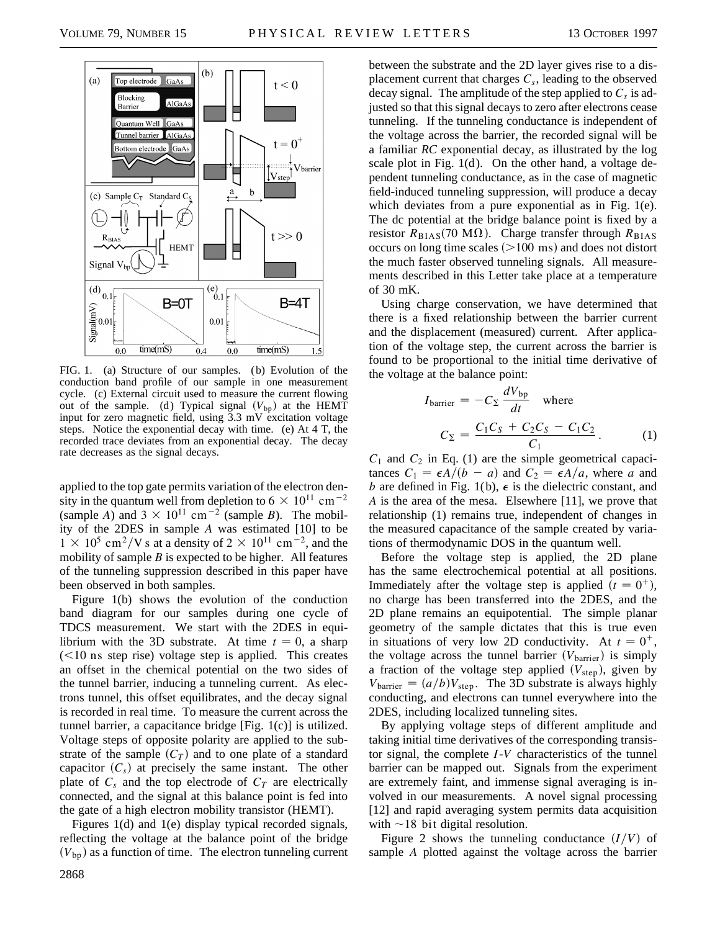

FIG. 1. (a) Structure of our samples. (b) Evolution of the conduction band profile of our sample in one measurement cycle. (c) External circuit used to measure the current flowing out of the sample. (d) Typical signal  $(V_{bp})$  at the HEMT input for zero magnetic field, using 3.3 mV excitation voltage steps. Notice the exponential decay with time. (e) At 4 T, the recorded trace deviates from an exponential decay. The decay rate decreases as the signal decays.

applied to the top gate permits variation of the electron density in the quantum well from depletion to 6  $\times$  10<sup>11</sup> cm<sup>-2</sup> (sample *A*) and  $3 \times 10^{11}$  cm<sup>-2</sup> (sample *B*). The mobility of the 2DES in sample *A* was estimated [10] to be  $1 \times 10^5$  cm<sup>2</sup>/V s at a density of  $2 \times 10^{11}$  cm<sup>-2</sup>, and the mobility of sample *B* is expected to be higher. All features of the tunneling suppression described in this paper have been observed in both samples.

Figure 1(b) shows the evolution of the conduction band diagram for our samples during one cycle of TDCS measurement. We start with the 2DES in equilibrium with the 3D substrate. At time  $t = 0$ , a sharp  $(<10$  ns step rise) voltage step is applied. This creates an offset in the chemical potential on the two sides of the tunnel barrier, inducing a tunneling current. As electrons tunnel, this offset equilibrates, and the decay signal is recorded in real time. To measure the current across the tunnel barrier, a capacitance bridge [Fig. 1(c)] is utilized. Voltage steps of opposite polarity are applied to the substrate of the sample  $(C_T)$  and to one plate of a standard capacitor  $(C_s)$  at precisely the same instant. The other plate of  $C_s$  and the top electrode of  $C_T$  are electrically connected, and the signal at this balance point is fed into the gate of a high electron mobility transistor (HEMT).

Figures 1(d) and 1(e) display typical recorded signals, reflecting the voltage at the balance point of the bridge  $(V_{\rm bp})$  as a function of time. The electron tunneling current

between the substrate and the 2D layer gives rise to a displacement current that charges  $C_s$ , leading to the observed decay signal. The amplitude of the step applied to  $C_s$  is adjusted so that this signal decays to zero after electrons cease tunneling. If the tunneling conductance is independent of the voltage across the barrier, the recorded signal will be a familiar *RC* exponential decay, as illustrated by the log scale plot in Fig. 1(d ). On the other hand, a voltage dependent tunneling conductance, as in the case of magnetic field-induced tunneling suppression, will produce a decay which deviates from a pure exponential as in Fig. 1(e). The dc potential at the bridge balance point is fixed by a resistor  $R_{\text{BIAS}}(70 \text{ M}\Omega)$ . Charge transfer through  $R_{\text{BIAS}}$ occurs on long time scales  $(>100 \text{ ms})$  and does not distort the much faster observed tunneling signals. All measurements described in this Letter take place at a temperature of 30 mK.

Using charge conservation, we have determined that there is a fixed relationship between the barrier current and the displacement (measured) current. After application of the voltage step, the current across the barrier is found to be proportional to the initial time derivative of the voltage at the balance point:

$$
I_{barrier} = -C_{\Sigma} \frac{dV_{bp}}{dt} \quad \text{where}
$$

$$
C_{\Sigma} = \frac{C_1 C_S + C_2 C_S - C_1 C_2}{C_1}.
$$
 (1)

 $C_1$  and  $C_2$  in Eq. (1) are the simple geometrical capacitances  $C_1 = \frac{\epsilon A}{b-a}$  and  $C_2 = \frac{\epsilon A}{a}$ , where *a* and *b* are defined in Fig. 1(b),  $\epsilon$  is the dielectric constant, and *A* is the area of the mesa. Elsewhere [11], we prove that relationship (1) remains true, independent of changes in the measured capacitance of the sample created by variations of thermodynamic DOS in the quantum well.

Before the voltage step is applied, the 2D plane has the same electrochemical potential at all positions. Immediately after the voltage step is applied  $(t = 0<sup>+</sup>)$ , no charge has been transferred into the 2DES, and the 2D plane remains an equipotential. The simple planar geometry of the sample dictates that this is true even in situations of very low 2D conductivity. At  $t = 0^{+}$ , the voltage across the tunnel barrier  $(V_{\text{barrier}})$  is simply a fraction of the voltage step applied  $(V<sub>step</sub>)$ , given by  $V_{barrier} = (a/b)V_{step}$ . The 3D substrate is always highly conducting, and electrons can tunnel everywhere into the 2DES, including localized tunneling sites.

By applying voltage steps of different amplitude and taking initial time derivatives of the corresponding transistor signal, the complete *I*-*V* characteristics of the tunnel barrier can be mapped out. Signals from the experiment are extremely faint, and immense signal averaging is involved in our measurements. A novel signal processing [12] and rapid averaging system permits data acquisition with  $\sim$ 18 bit digital resolution.

Figure 2 shows the tunneling conductance  $(I/V)$  of sample *A* plotted against the voltage across the barrier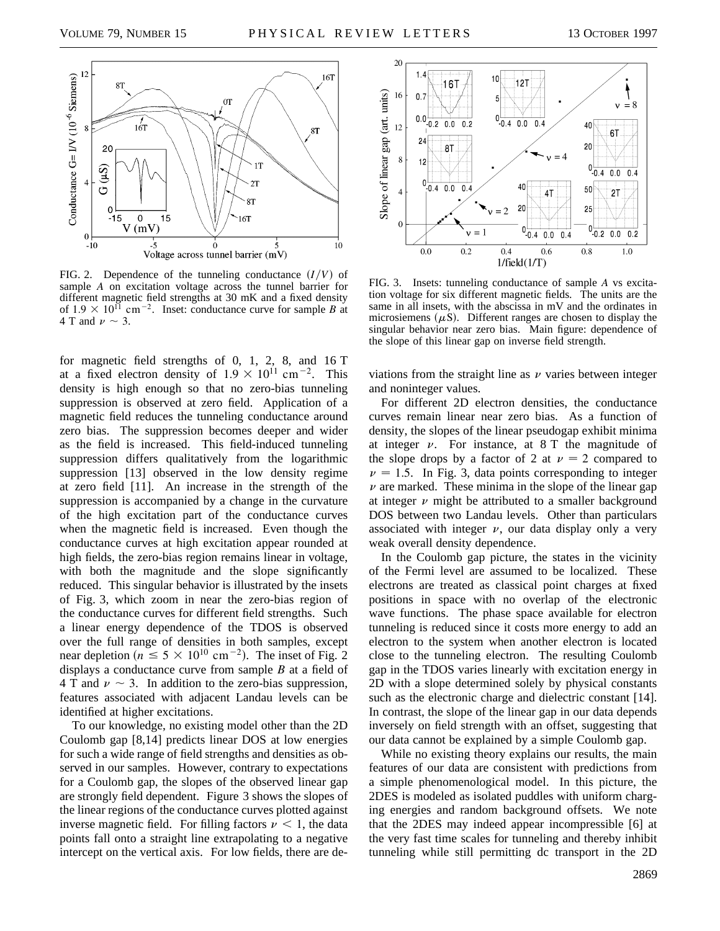

FIG. 2. Dependence of the tunneling conductance  $(I/V)$  of sample *A* on excitation voltage across the tunnel barrier for different magnetic field strengths at 30 mK and a fixed density of  $1.9 \times 10^{11}$  cm<sup>-2</sup>. Inset: conductance curve for sample *B* at 4 T and  $\nu \sim 3$ .

for magnetic field strengths of 0, 1, 2, 8, and 16 T at a fixed electron density of  $1.9 \times 10^{11}$  cm<sup>-2</sup>. This density is high enough so that no zero-bias tunneling suppression is observed at zero field. Application of a magnetic field reduces the tunneling conductance around zero bias. The suppression becomes deeper and wider as the field is increased. This field-induced tunneling suppression differs qualitatively from the logarithmic suppression [13] observed in the low density regime at zero field [11]. An increase in the strength of the suppression is accompanied by a change in the curvature of the high excitation part of the conductance curves when the magnetic field is increased. Even though the conductance curves at high excitation appear rounded at high fields, the zero-bias region remains linear in voltage, with both the magnitude and the slope significantly reduced. This singular behavior is illustrated by the insets of Fig. 3, which zoom in near the zero-bias region of the conductance curves for different field strengths. Such a linear energy dependence of the TDOS is observed over the full range of densities in both samples, except near depletion ( $n \le 5 \times 10^{10}$  cm<sup>-2</sup>). The inset of Fig. 2 displays a conductance curve from sample *B* at a field of 4 T and  $\nu \sim 3$ . In addition to the zero-bias suppression, features associated with adjacent Landau levels can be identified at higher excitations.

To our knowledge, no existing model other than the 2D Coulomb gap [8,14] predicts linear DOS at low energies for such a wide range of field strengths and densities as observed in our samples. However, contrary to expectations for a Coulomb gap, the slopes of the observed linear gap are strongly field dependent. Figure 3 shows the slopes of the linear regions of the conductance curves plotted against inverse magnetic field. For filling factors  $\nu < 1$ , the data points fall onto a straight line extrapolating to a negative intercept on the vertical axis. For low fields, there are de-



FIG. 3. Insets: tunneling conductance of sample *A* vs excitation voltage for six different magnetic fields. The units are the same in all insets, with the abscissa in mV and the ordinates in microsiemens  $(\mu S)$ . Different ranges are chosen to display the singular behavior near zero bias. Main figure: dependence of the slope of this linear gap on inverse field strength.

viations from the straight line as  $\nu$  varies between integer and noninteger values.

For different 2D electron densities, the conductance curves remain linear near zero bias. As a function of density, the slopes of the linear pseudogap exhibit minima at integer  $\nu$ . For instance, at 8 T the magnitude of the slope drops by a factor of 2 at  $\nu = 2$  compared to  $\nu = 1.5$ . In Fig. 3, data points corresponding to integer  $\nu$  are marked. These minima in the slope of the linear gap at integer  $\nu$  might be attributed to a smaller background DOS between two Landau levels. Other than particulars associated with integer  $\nu$ , our data display only a very weak overall density dependence.

In the Coulomb gap picture, the states in the vicinity of the Fermi level are assumed to be localized. These electrons are treated as classical point charges at fixed positions in space with no overlap of the electronic wave functions. The phase space available for electron tunneling is reduced since it costs more energy to add an electron to the system when another electron is located close to the tunneling electron. The resulting Coulomb gap in the TDOS varies linearly with excitation energy in 2D with a slope determined solely by physical constants such as the electronic charge and dielectric constant [14]. In contrast, the slope of the linear gap in our data depends inversely on field strength with an offset, suggesting that our data cannot be explained by a simple Coulomb gap.

While no existing theory explains our results, the main features of our data are consistent with predictions from a simple phenomenological model. In this picture, the 2DES is modeled as isolated puddles with uniform charging energies and random background offsets. We note that the 2DES may indeed appear incompressible [6] at the very fast time scales for tunneling and thereby inhibit tunneling while still permitting dc transport in the 2D